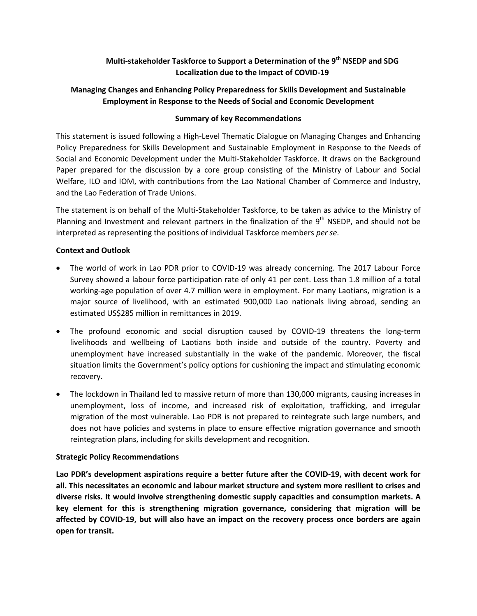# **Multi-stakeholder Taskforce to Support a Determination of the 9th NSEDP and SDG Localization due to the Impact of COVID-19**

# **Managing Changes and Enhancing Policy Preparedness for Skills Development and Sustainable Employment in Response to the Needs of Social and Economic Development**

## **Summary of key Recommendations**

This statement is issued following a High-Level Thematic Dialogue on Managing Changes and Enhancing Policy Preparedness for Skills Development and Sustainable Employment in Response to the Needs of Social and Economic Development under the Multi-Stakeholder Taskforce. It draws on the Background Paper prepared for the discussion by a core group consisting of the Ministry of Labour and Social Welfare, ILO and IOM, with contributions from the Lao National Chamber of Commerce and Industry, and the Lao Federation of Trade Unions.

The statement is on behalf of the Multi-Stakeholder Taskforce, to be taken as advice to the Ministry of Planning and Investment and relevant partners in the finalization of the 9<sup>th</sup> NSEDP, and should not be interpreted as representing the positions of individual Taskforce members *per se*.

## **Context and Outlook**

- The world of work in Lao PDR prior to COVID-19 was already concerning. The 2017 Labour Force Survey showed a labour force participation rate of only 41 per cent. Less than 1.8 million of a total working-age population of over 4.7 million were in employment. For many Laotians, migration is a major source of livelihood, with an estimated 900,000 Lao nationals living abroad, sending an estimated US\$285 million in remittances in 2019.
- The profound economic and social disruption caused by COVID-19 threatens the long-term livelihoods and wellbeing of Laotians both inside and outside of the country. Poverty and unemployment have increased substantially in the wake of the pandemic. Moreover, the fiscal situation limits the Government's policy options for cushioning the impact and stimulating economic recovery.
- The lockdown in Thailand led to massive return of more than 130,000 migrants, causing increases in unemployment, loss of income, and increased risk of exploitation, trafficking, and irregular migration of the most vulnerable. Lao PDR is not prepared to reintegrate such large numbers, and does not have policies and systems in place to ensure effective migration governance and smooth reintegration plans, including for skills development and recognition.

#### **Strategic Policy Recommendations**

**Lao PDR's development aspirations require a better future after the COVID-19, with decent work for all. This necessitates an economic and labour market structure and system more resilient to crises and diverse risks. It would involve strengthening domestic supply capacities and consumption markets. A key element for this is strengthening migration governance, considering that migration will be affected by COVID-19, but will also have an impact on the recovery process once borders are again open for transit.**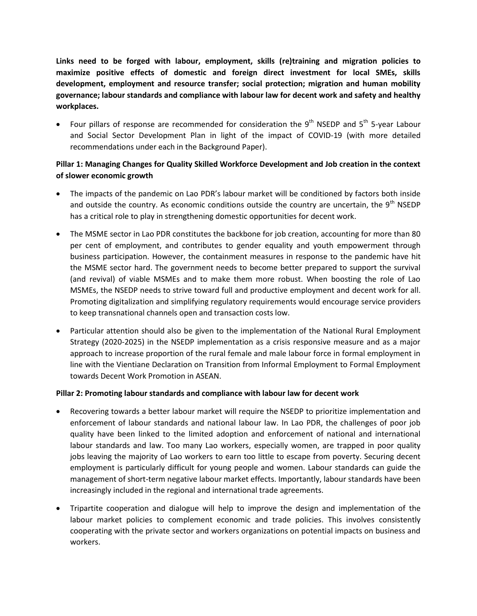**Links need to be forged with labour, employment, skills (re)training and migration policies to maximize positive effects of domestic and foreign direct investment for local SMEs, skills development, employment and resource transfer; social protection; migration and human mobility governance; labour standards and compliance with labour law for decent work and safety and healthy workplaces.**

• Four pillars of response are recommended for consideration the 9<sup>th</sup> NSEDP and 5<sup>th</sup> 5-year Labour and Social Sector Development Plan in light of the impact of COVID-19 (with more detailed recommendations under each in the Background Paper).

# **Pillar 1: Managing Changes for Quality Skilled Workforce Development and Job creation in the context of slower economic growth**

- The impacts of the pandemic on Lao PDR's labour market will be conditioned by factors both inside and outside the country. As economic conditions outside the country are uncertain, the 9<sup>th</sup> NSEDP has a critical role to play in strengthening domestic opportunities for decent work.
- The MSME sector in Lao PDR constitutes the backbone for job creation, accounting for more than 80 per cent of employment, and contributes to gender equality and youth empowerment through business participation. However, the containment measures in response to the pandemic have hit the MSME sector hard. The government needs to become better prepared to support the survival (and revival) of viable MSMEs and to make them more robust. When boosting the role of Lao MSMEs, the NSEDP needs to strive toward full and productive employment and decent work for all. Promoting digitalization and simplifying regulatory requirements would encourage service providers to keep transnational channels open and transaction costs low.
- Particular attention should also be given to the implementation of the National Rural Employment Strategy (2020-2025) in the NSEDP implementation as a crisis responsive measure and as a major approach to increase proportion of the rural female and male labour force in formal employment in line with the Vientiane Declaration on Transition from Informal Employment to Formal Employment towards Decent Work Promotion in ASEAN.

#### **Pillar 2: Promoting labour standards and compliance with labour law for decent work**

- Recovering towards a better labour market will require the NSEDP to prioritize implementation and enforcement of labour standards and national labour law. In Lao PDR, the challenges of poor job quality have been linked to the limited adoption and enforcement of national and international labour standards and law. Too many Lao workers, especially women, are trapped in poor quality jobs leaving the majority of Lao workers to earn too little to escape from poverty. Securing decent employment is particularly difficult for young people and women. Labour standards can guide the management of short-term negative labour market effects. Importantly, labour standards have been increasingly included in the regional and international trade agreements.
- Tripartite cooperation and dialogue will help to improve the design and implementation of the labour market policies to complement economic and trade policies. This involves consistently cooperating with the private sector and workers organizations on potential impacts on business and workers.